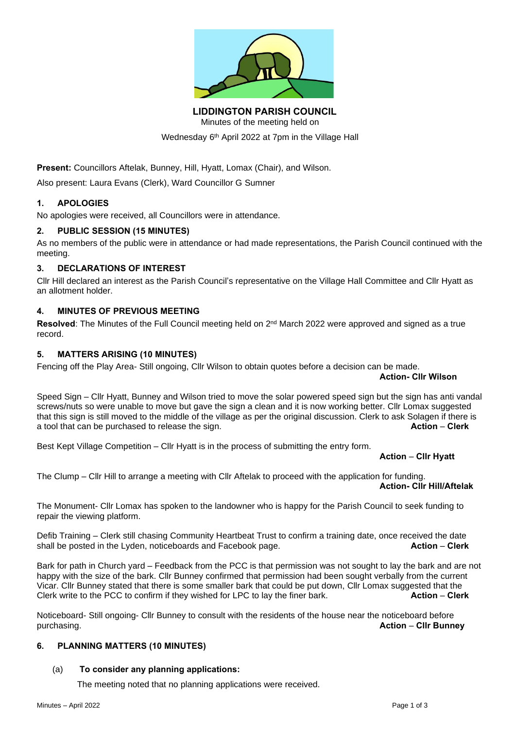

**LIDDINGTON PARISH COUNCIL**

Minutes of the meeting held on

Wednesday 6 th April 2022 at 7pm in the Village Hall

**Present:** Councillors Aftelak, Bunney, Hill, Hyatt, Lomax (Chair), and Wilson.

Also present: Laura Evans (Clerk), Ward Councillor G Sumner

# **1. APOLOGIES**

No apologies were received, all Councillors were in attendance.

# **2. PUBLIC SESSION (15 MINUTES)**

As no members of the public were in attendance or had made representations, the Parish Council continued with the meeting.

# **3. DECLARATIONS OF INTEREST**

Cllr Hill declared an interest as the Parish Council's representative on the Village Hall Committee and Cllr Hyatt as an allotment holder.

# **4. MINUTES OF PREVIOUS MEETING**

**Resolved**: The Minutes of the Full Council meeting held on 2<sup>nd</sup> March 2022 were approved and signed as a true record.

# **5. MATTERS ARISING (10 MINUTES)**

Fencing off the Play Area- Still ongoing, Cllr Wilson to obtain quotes before a decision can be made.

**Action- Cllr Wilson**

Speed Sign – Cllr Hyatt, Bunney and Wilson tried to move the solar powered speed sign but the sign has anti vandal screws/nuts so were unable to move but gave the sign a clean and it is now working better. Cllr Lomax suggested that this sign is still moved to the middle of the village as per the original discussion. Clerk to ask Solagen if there is a tool that can be purchased to release the sign. **Action** – **Clerk**

Best Kept Village Competition – Cllr Hyatt is in the process of submitting the entry form.

# **Action** – **Cllr Hyatt**

The Clump – Cllr Hill to arrange a meeting with Cllr Aftelak to proceed with the application for funding. **Action- Cllr Hill/Aftelak**

The Monument- Cllr Lomax has spoken to the landowner who is happy for the Parish Council to seek funding to repair the viewing platform.

Defib Training – Clerk still chasing Community Heartbeat Trust to confirm a training date, once received the date<br>**Action – Clerk**<br>**Action – Clerk** shall be posted in the Lyden, noticeboards and Facebook page.

Bark for path in Church yard – Feedback from the PCC is that permission was not sought to lay the bark and are not happy with the size of the bark. Cllr Bunney confirmed that permission had been sought verbally from the current Vicar. Cllr Bunney stated that there is some smaller bark that could be put down, Cllr Lomax suggested that the Clerk write to the PCC to confirm if they wished for LPC to lay the finer bark. **Action** – **Clerk**

Noticeboard- Still ongoing- Cllr Bunney to consult with the residents of the house near the noticeboard before purchasing. **Action** – **Cllr Bunney**

# **6. PLANNING MATTERS (10 MINUTES)**

# (a) **To consider any planning applications:**

The meeting noted that no planning applications were received.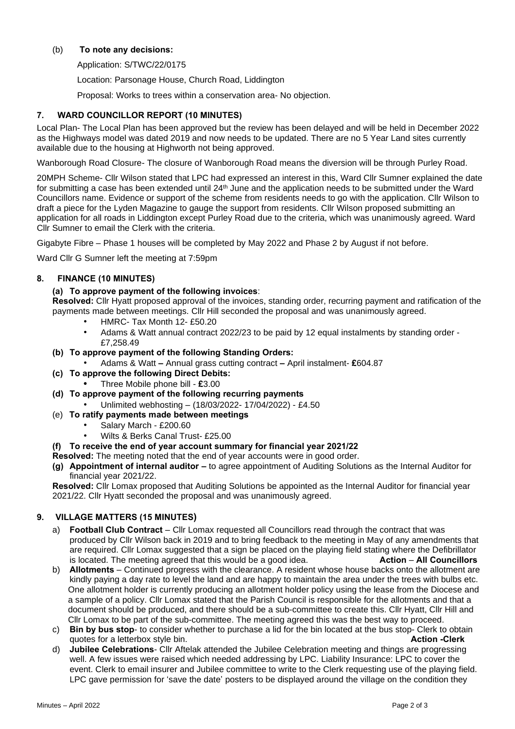#### (b) **To note any decisions:**

Application: S/TWC/22/0175

Location: Parsonage House, Church Road, Liddington

Proposal: Works to trees within a conservation area- No objection.

#### **7. WARD COUNCILLOR REPORT (10 MINUTES)**

Local Plan- The Local Plan has been approved but the review has been delayed and will be held in December 2022 as the Highways model was dated 2019 and now needs to be updated. There are no 5 Year Land sites currently available due to the housing at Highworth not being approved.

Wanborough Road Closure- The closure of Wanborough Road means the diversion will be through Purley Road.

20MPH Scheme- Cllr Wilson stated that LPC had expressed an interest in this, Ward Cllr Sumner explained the date for submitting a case has been extended until 24<sup>th</sup> June and the application needs to be submitted under the Ward Councillors name. Evidence or support of the scheme from residents needs to go with the application. Cllr Wilson to draft a piece for the Lyden Magazine to gauge the support from residents. Cllr Wilson proposed submitting an application for all roads in Liddington except Purley Road due to the criteria, which was unanimously agreed. Ward Cllr Sumner to email the Clerk with the criteria.

Gigabyte Fibre – Phase 1 houses will be completed by May 2022 and Phase 2 by August if not before.

Ward Cllr G Sumner left the meeting at 7:59pm

#### **8. FINANCE (10 MINUTES)**

# **(a) To approve payment of the following invoices**:

**Resolved:** Cllr Hyatt proposed approval of the invoices, standing order, recurring payment and ratification of the payments made between meetings. Cllr Hill seconded the proposal and was unanimously agreed.

- HMRC- Tax Month 12- £50.20
- Adams & Watt annual contract 2022/23 to be paid by 12 equal instalments by standing order £7,258.49
- **(b) To approve payment of the following Standing Orders:**
	- Adams & Watt **–** Annual grass cutting contract **–** April instalment- **£**604.87
- **(c) To approve the following Direct Debits:**
	- **•** Three Mobile phone bill **£**3.00
- **(d) To approve payment of the following recurring payments**
	- Unlimited webhosting (18/03/2022- 17/04/2022) £4.50
- (e) **To ratify payments made between meetings**
	- Salary March £200.60
	- Wilts & Berks Canal Trust- £25.00
- **(f) To receive the end of year account summary for financial year 2021/22**

**Resolved:** The meeting noted that the end of year accounts were in good order.

**(g) Appointment of internal auditor –** to agree appointment of Auditing Solutions as the Internal Auditor for financial year 2021/22.

**Resolved:** Cllr Lomax proposed that Auditing Solutions be appointed as the Internal Auditor for financial year 2021/22. Cllr Hyatt seconded the proposal and was unanimously agreed.

# **9. VILLAGE MATTERS (15 MINUTES)**

- a) **Football Club Contract** Cllr Lomax requested all Councillors read through the contract that was produced by Cllr Wilson back in 2019 and to bring feedback to the meeting in May of any amendments that are required. Cllr Lomax suggested that a sign be placed on the playing field stating where the Defibrillator<br>is located. The meeting agreed that this would be a good idea. **Action - All Councillors** is located. The meeting agreed that this would be a good idea.
- b) **Allotments** Continued progress with the clearance. A resident whose house backs onto the allotment are kindly paying a day rate to level the land and are happy to maintain the area under the trees with bulbs etc. One allotment holder is currently producing an allotment holder policy using the lease from the Diocese and a sample of a policy. Cllr Lomax stated that the Parish Council is responsible for the allotments and that a document should be produced, and there should be a sub-committee to create this. Cllr Hyatt, Cllr Hill and Cllr Lomax to be part of the sub-committee. The meeting agreed this was the best way to proceed.
- c) **Bin by bus stop** to consider whether to purchase a lid for the bin located at the bus stop- Clerk to obtain quotes for a letterbox style bin. **Action -Clerk**
- d) **Jubilee Celebrations** Cllr Aftelak attended the Jubilee Celebration meeting and things are progressing well. A few issues were raised which needed addressing by LPC. Liability Insurance: LPC to cover the event. Clerk to email insurer and Jubilee committee to write to the Clerk requesting use of the playing field. LPC gave permission for 'save the date' posters to be displayed around the village on the condition they